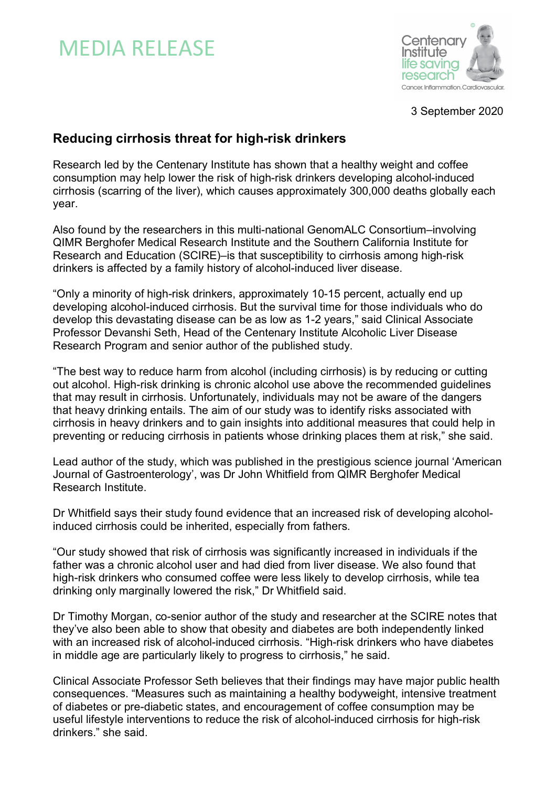# MEDIA RELEASE



3 September 2020

# **Reducing cirrhosis threat for high-risk drinkers**

Research led by the Centenary Institute has shown that a healthy weight and coffee consumption may help lower the risk of high-risk drinkers developing alcohol-induced cirrhosis (scarring of the liver), which causes approximately 300,000 deaths globally each year.

Also found by the researchers in this multi-national GenomALC Consortium–involving QIMR Berghofer Medical Research Institute and the Southern California Institute for Research and Education (SCIRE)–is that susceptibility to cirrhosis among high-risk drinkers is affected by a family history of alcohol-induced liver disease.

"Only a minority of high-risk drinkers, approximately 10-15 percent, actually end up developing alcohol-induced cirrhosis. But the survival time for those individuals who do develop this devastating disease can be as low as 1-2 years," said Clinical Associate Professor Devanshi Seth, Head of the Centenary Institute Alcoholic Liver Disease Research Program and senior author of the published study.

"The best way to reduce harm from alcohol (including cirrhosis) is by reducing or cutting out alcohol. High-risk drinking is chronic alcohol use above the recommended guidelines that may result in cirrhosis. Unfortunately, individuals may not be aware of the dangers that heavy drinking entails. The aim of our study was to identify risks associated with cirrhosis in heavy drinkers and to gain insights into additional measures that could help in preventing or reducing cirrhosis in patients whose drinking places them at risk," she said.

Lead author of the study, which was published in the prestigious science journal 'American Journal of Gastroenterology', was Dr John Whitfield from QIMR Berghofer Medical Research Institute.

Dr Whitfield says their study found evidence that an increased risk of developing alcoholinduced cirrhosis could be inherited, especially from fathers.

"Our study showed that risk of cirrhosis was significantly increased in individuals if the father was a chronic alcohol user and had died from liver disease. We also found that high-risk drinkers who consumed coffee were less likely to develop cirrhosis, while tea drinking only marginally lowered the risk," Dr Whitfield said.

Dr Timothy Morgan, co-senior author of the study and researcher at the SCIRE notes that they've also been able to show that obesity and diabetes are both independently linked with an increased risk of alcohol-induced cirrhosis. "High-risk drinkers who have diabetes in middle age are particularly likely to progress to cirrhosis," he said.

Clinical Associate Professor Seth believes that their findings may have major public health consequences. "Measures such as maintaining a healthy bodyweight, intensive treatment of diabetes or pre-diabetic states, and encouragement of coffee consumption may be useful lifestyle interventions to reduce the risk of alcohol-induced cirrhosis for high-risk drinkers." she said.